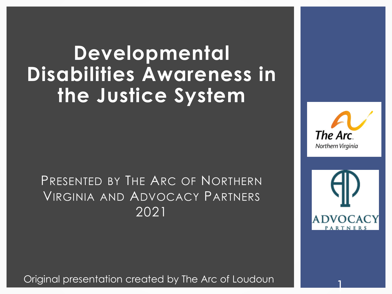### **Developmental Disabilities Awareness in the Justice System**

### PRESENTED BY THE ARC OF NORTHERN VIRGINIA AND ADVOCACY PARTNERS 2021

Original presentation created by The Arc of Loudoun 1



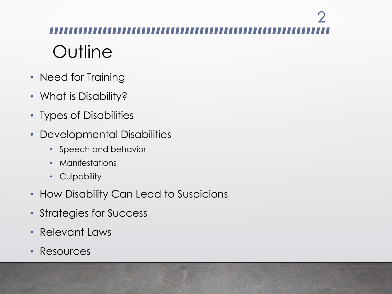# **Outline**  $\mathcal{P}$

- Need for Training
- What is Disability?
- Types of Disabilities
- Developmental Disabilities
	- Speech and behavior
	- Manifestations
	- Culpability
- How Disability Can Lead to Suspicions
- Strategies for Success
- Relevant Laws
- Resources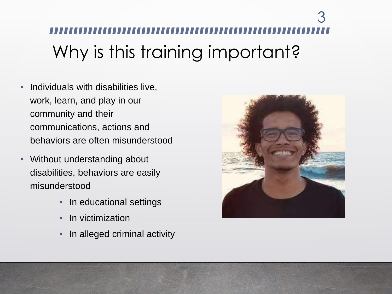# Why is this training important? 3

- Individuals with disabilities live, work, learn, and play in our community and their communications, actions and behaviors are often misunderstood
- Without understanding about disabilities, behaviors are easily misunderstood
	- In educational settings
	- In victimization
	- In alleged criminal activity

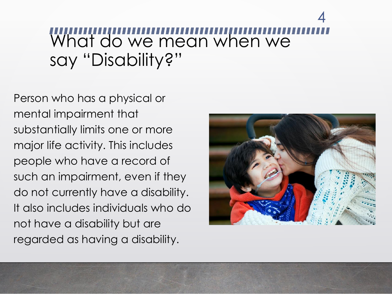### What do we mean when we say "Disability?" 4

Person who has a physical or mental impairment that substantially limits one or more major life activity. This includes people who have a record of such an impairment, even if they do not currently have a disability. It also includes individuals who do not have a disability but are regarded as having a disability.

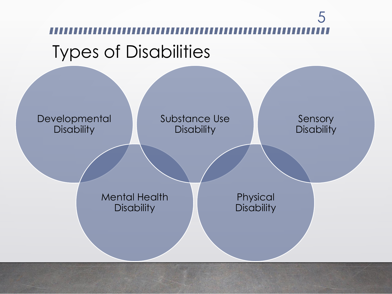# Types of Disabilities 5

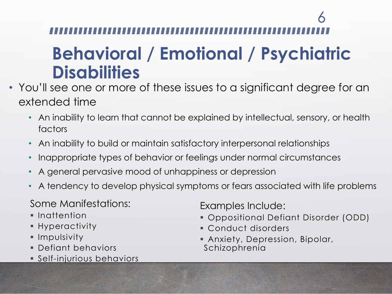### **Behavioral / Emotional / Psychiatric Disabilities**

- You'll see one or more of these issues to a significant degree for an extended time
	- An inability to learn that cannot be explained by intellectual, sensory, or health factors
	- An inability to build or maintain satisfactory interpersonal relationships
	- Inappropriate types of behavior or feelings under normal circumstances
	- A general pervasive mood of unhappiness or depression
	- A tendency to develop physical symptoms or fears associated with life problems

Some Manifestations:

- Inattention
- Hyperactivity
- Impulsivity
- Defiant behaviors
- **Self-injurious behaviors**

Examples Include:

- Oppositional Defiant Disorder (ODD)
- Conduct disorders
- **Anxiety, Depression, Bipolar,** Schizophrenia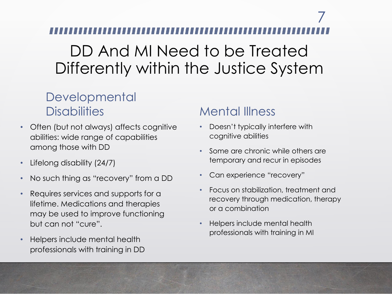### DD And MI Need to be Treated Differently within the Justice System

#### **Developmental Disabilities**

- Often (but not always) affects cognitive abilities: wide range of capabilities among those with DD
- Lifelong disability (24/7)
- No such thing as "recovery" from a DD
- Requires services and supports for a lifetime. Medications and therapies may be used to improve functioning but can not "cure".
- Helpers include mental health professionals with training in DD

#### Mental Illness

- Doesn't typically interfere with cognitive abilities
- Some are chronic while others are temporary and recur in episodes
- Can experience "recovery"
- Focus on stabilization, treatment and recovery through medication, therapy or a combination
- Helpers include mental health professionals with training in MI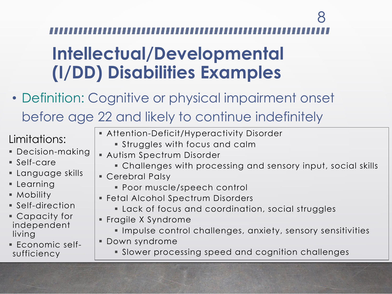### **Intellectual/Developmental (I/DD) Disabilities Examples**

• Definition: Cognitive or physical impairment onset before age 22 and likely to continue indefinitely

### Limitations:

- Decision-making
- $\blacksquare$  Self-care
- Language skills
- Learning
- Mobility
- Self-direction
- Capacity for independent living
- Economic selfsufficiency
- **EXTENTION-Deficit/Hyperactivity Disorder** 
	- **.** Struggles with focus and calm
- **Autism Spectrum Disorder** 
	- **Challenges with processing and sensory input, social skills**
- **Cerebral Palsy** 
	- **Poor muscle/speech control**
- **Fetal Alcohol Spectrum Disorders** 
	- **EXEC** Lack of focus and coordination, social struggles
- **Fragile X Syndrome** 
	- Impulse control challenges, anxiety, sensory sensitivities
- Down syndrome
	- **EXECT** Slower processing speed and cognition challenges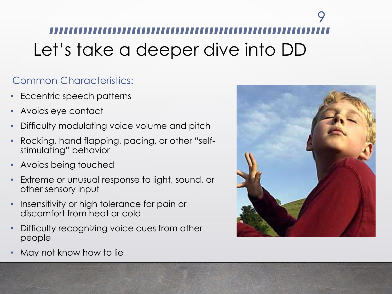# Let's take a deeper dive into DD 9

#### Common Characteristics:

- Eccentric speech patterns
- Avoids eye contact
- Difficulty modulating voice volume and pitch
- Rocking, hand flapping, pacing, or other "selfstimulating" behavior
- Avoids being touched
- Extreme or unusual response to light, sound, or other sensory input
- Insensitivity or high tolerance for pain or discomfort from heat or cold
- Difficulty recognizing voice cues from other people



• May not know how to lie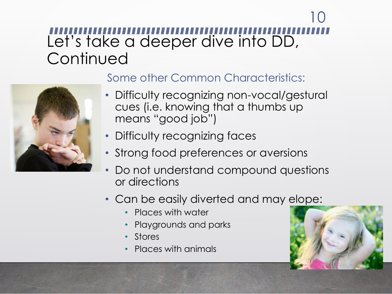### Let's take a deeper dive into DD, **Continued** 10



#### Some other Common Characteristics:

- Difficulty recognizing non-vocal/gestural cues (i.e. knowing that a thumbs up means "good job")
- Difficulty recognizing faces
- Strong food preferences or aversions
- Do not understand compound questions or directions
- Can be easily diverted and may elope:
	- Places with water
	- Playgrounds and parks
	- **Stores**
	- Places with animals

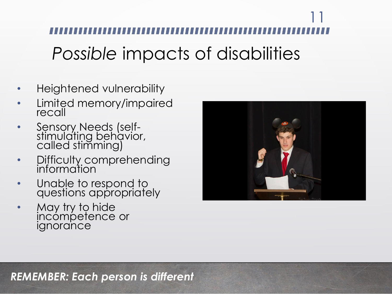*Possible* impacts of disabilities 11

- Heightened vulnerability
- Limited memory/impaired recall
- Sensory Needs (selfstimulating behavior, called stimming)
- Difficulty comprehending information
- Unable to respond to questions appropriately
- May try to hide incómpetence or ignorance



*REMEMBER: Each person is different*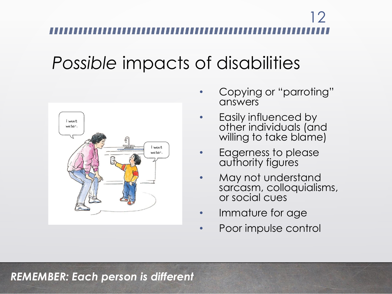### *Possible* impacts of disabilities



- Copying or "parroting" answers
- Easily influenced by other individuals (and willing to take blame)
- Eagerness to please authority figures
- May not understand sarcasm, colloquialisms, or social cues
- Immature for age
- Poor impulse control

#### *REMEMBER: Each person is different*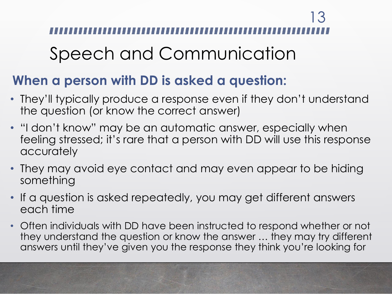| '3

### Speech and Communication

### **When a person with DD is asked a question:**

- They'll typically produce a response even if they don't understand the question (or know the correct answer)
- "I don't know" may be an automatic answer, especially when feeling stressed; it's rare that a person with DD will use this response accurately
- They may avoid eye contact and may even appear to be hiding something
- If a question is asked repeatedly, you may get different answers each time
- Often individuals with DD have been instructed to respond whether or not they understand the question or know the answer … they may try different answers until they've given you the response they think you're looking for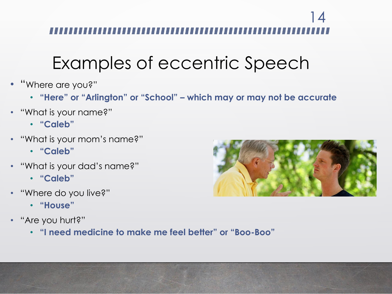### Examples of eccentric Speech

- "Where are you?"
	- **"Here" or "Arlington" or "School" – which may or may not be accurate**
- "What is your name?"
	- **"Caleb"**
- "What is your mom's name?"
	- **"Caleb"**
- "What is your dad's name?"
	- **"Caleb"**
- "Where do you live?"
	- **"House"**
- "Are you hurt?"
	- **"I need medicine to make me feel better" or "Boo-Boo"**

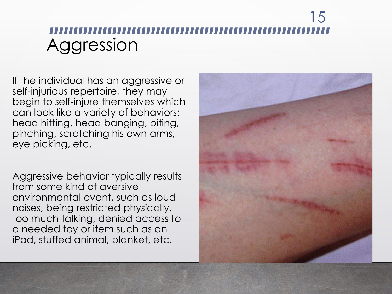### Aggression 15

If the individual has an aggressive or self -injurious repertoire, they may begin to self -injure themselves which can look like a variety of behaviors: head hitting, head banging, biting, pinching, scratching his own arms, eye picking, etc.

Aggressive behavior typically results from some kind of aversive environmental event, such as loud noises, being restricted physically, too much talking, denied access to a needed toy or item such as an iPad, stuffed animal, blanket, etc.

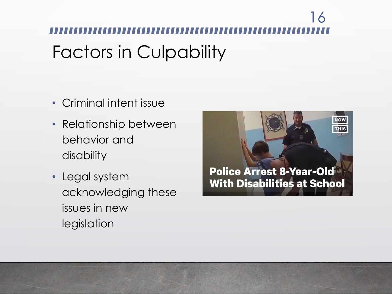# Factors in Culpability 16

- Criminal intent issue
- Relationship between behavior and disability
- Legal system acknowledging these issues in new legislation

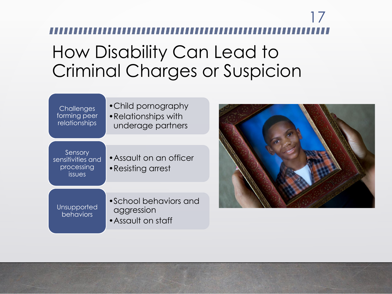### How Disability Can Lead to Criminal Charges or Suspicion





 $\frac{1}{2}$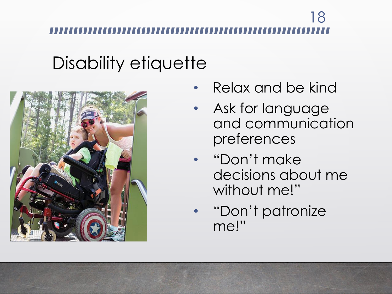### Disability etiquette



- Relax and be kind
- Ask for language and communication preferences
- "Don't make decisions about me without me!"
- "Don't patronize me!"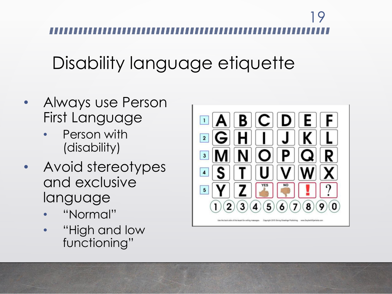### Disability language etiquette

- Always use Person First Language
	- Person with (disability)
- Avoid stereotypes and exclusive language
	- "Normal"
	- "High and low functioning"

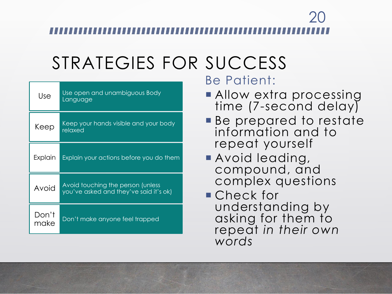### STRATEGIES FOR SUCCESS

| Use           | Use open and unambiguous Body<br>Language                                   |
|---------------|-----------------------------------------------------------------------------|
| Keep          | Keep your hands visible and your body<br>relaxed                            |
| Explain       | Explain your actions before you do them                                     |
| Avoid         | Avoid touching the person (unless<br>you've asked and they've said it's ok) |
| Don't<br>make | Don't make anyone feel trapped                                              |

Be Patient:

- **Allow extra processing** time (7-second delay)
- **Be prepared to restate** information and to repeat yourself
- **Avoid leading,** compound, and complex questions
- Check for understanding by asking for them to repeat *in their own words*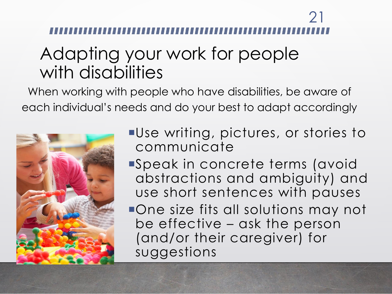### Adapting your work for people with disabilities

When working with people who have disabilities, be aware of each individual's needs and do your best to adapt accordingly



- Use writing, pictures, or stories to communicate
- Speak in concrete terms (avoid abstractions and ambiguity) and use short sentences with pauses
- One size fits all solutions may not be effective – ask the person (and/or their caregiver) for suggestions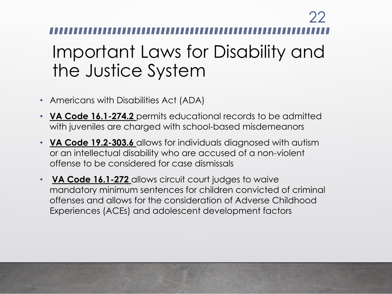### Important Laws for Disability and the Justice System 22

- Americans with Disabilities Act (ADA)
- **VA Code 16.1-274.2** permits educational records to be admitted with juveniles are charged with school-based misdemeanors
- **VA Code 19.2-303.6** allows for individuals diagnosed with autism or an intellectual disability who are accused of a non-violent offense to be considered for case dismissals
- **[VA Code 16.1-272](about:blank)** allows circuit court judges to waive mandatory minimum sentences for children convicted of criminal offenses and allows for the consideration of Adverse Childhood Experiences (ACEs) and adolescent development factors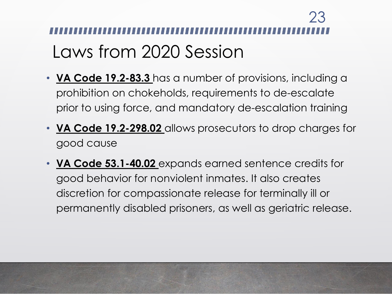# Laws from 2020 Session 23

- **VA Code 19.2-83.3** has a number of provisions, including a prohibition on chokeholds, requirements to de-escalate prior to using force, and mandatory de-escalation training
- **VA Code 19.2-298.02** allows prosecutors to drop charges for good cause
- **VA Code 53.1-40.02** expands earned sentence credits for good behavior for nonviolent inmates. It also creates discretion for compassionate release for terminally ill or permanently disabled prisoners, as well as geriatric release.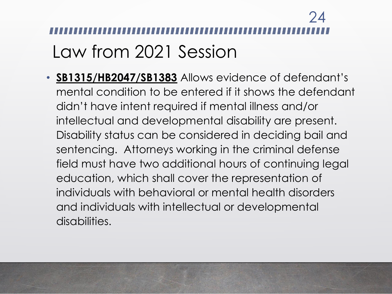# Law from 2021 Session 24

• **SB1315/HB2047/SB1383** Allows evidence of defendant's mental condition to be entered if it shows the defendant didn't have intent required if mental illness and/or intellectual and developmental disability are present. Disability status can be considered in deciding bail and sentencing. Attorneys working in the criminal defense field must have two additional hours of continuing legal education, which shall cover the representation of individuals with behavioral or mental health disorders and individuals with intellectual or developmental disabilities.